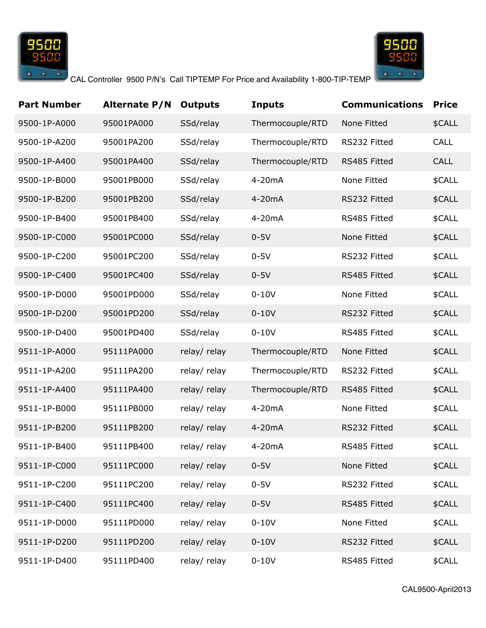



| <b>Part Number</b> | <b>Alternate P/N</b> | <b>Outputs</b> | <b>Inputs</b>    | <b>Communications</b> | <b>Price</b> |
|--------------------|----------------------|----------------|------------------|-----------------------|--------------|
| 9500-1P-A000       | 95001PA000           | SSd/relay      | Thermocouple/RTD | None Fitted           | \$CALL       |
| 9500-1P-A200       | 95001PA200           | SSd/relay      | Thermocouple/RTD | RS232 Fitted          | CALL         |
| 9500-1P-A400       | 95001PA400           | SSd/relay      | Thermocouple/RTD | RS485 Fitted          | <b>CALL</b>  |
| 9500-1P-B000       | 95001PB000           | SSd/relay      | 4-20mA           | None Fitted           | \$CALL       |
| 9500-1P-B200       | 95001PB200           | SSd/relay      | 4-20mA           | RS232 Fitted          | \$CALL       |
| 9500-1P-B400       | 95001PB400           | SSd/relay      | 4-20mA           | RS485 Fitted          | \$CALL       |
| 9500-1P-C000       | 95001PC000           | SSd/relay      | $0-5V$           | None Fitted           | \$CALL       |
| 9500-1P-C200       | 95001PC200           | SSd/relay      | $0-5V$           | RS232 Fitted          | \$CALL       |
| 9500-1P-C400       | 95001PC400           | SSd/relay      | $0-5V$           | RS485 Fitted          | \$CALL       |
| 9500-1P-D000       | 95001PD000           | SSd/relay      | $0-10V$          | None Fitted           | \$CALL       |
| 9500-1P-D200       | 95001PD200           | SSd/relay      | $0-10V$          | RS232 Fitted          | \$CALL       |
| 9500-1P-D400       | 95001PD400           | SSd/relay      | $0-10V$          | RS485 Fitted          | \$CALL       |
| 9511-1P-A000       | 95111PA000           | relay/relay    | Thermocouple/RTD | None Fitted           | \$CALL       |
| 9511-1P-A200       | 95111PA200           | relay/relay    | Thermocouple/RTD | RS232 Fitted          | \$CALL       |
| 9511-1P-A400       | 95111PA400           | relay/relay    | Thermocouple/RTD | RS485 Fitted          | \$CALL       |
| 9511-1P-B000       | 95111PB000           | relay/relay    | 4-20mA           | None Fitted           | \$CALL       |
| 9511-1P-B200       | 95111PB200           | relay/relay    | 4-20mA           | RS232 Fitted          | \$CALL       |
| 9511-1P-B400       | 95111PB400           | relay/relay    | 4-20mA           | RS485 Fitted          | \$CALL       |
| 9511-1P-C000       | 95111PC000           | relay/ relay   | $0-5V$           | None Fitted           | \$CALL       |
| 9511-1P-C200       | 95111PC200           | relay/relay    | $0-5V$           | RS232 Fitted          | \$CALL       |
| 9511-1P-C400       | 95111PC400           | relay/ relay   | $0-5V$           | RS485 Fitted          | \$CALL       |
| 9511-1P-D000       | 95111PD000           | relay/relay    | $0-10V$          | None Fitted           | \$CALL       |
| 9511-1P-D200       | 95111PD200           | relay/ relay   | $0-10V$          | RS232 Fitted          | \$CALL       |
| 9511-1P-D400       | 95111PD400           | relay/relay    | $0-10V$          | RS485 Fitted          | \$CALL       |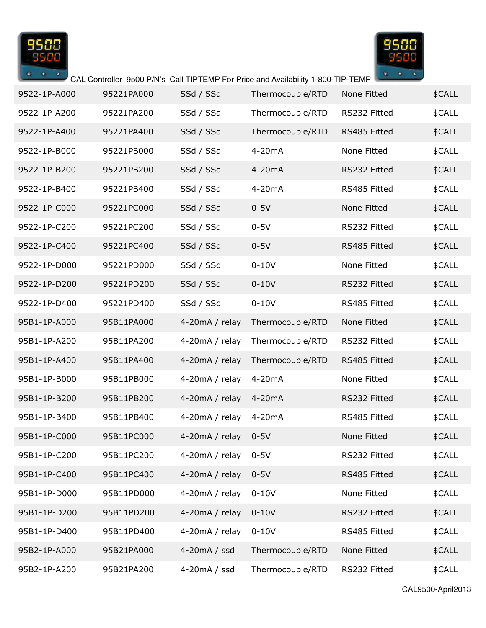



| 9522-1P-A000 | 95221PA000 | SSd / SSd         | Thermocouple/RTD | None Fitted  | \$CALL |
|--------------|------------|-------------------|------------------|--------------|--------|
| 9522-1P-A200 | 95221PA200 | SSd / SSd         | Thermocouple/RTD | RS232 Fitted | \$CALL |
| 9522-1P-A400 | 95221PA400 | SSd / SSd         | Thermocouple/RTD | RS485 Fitted | \$CALL |
| 9522-1P-B000 | 95221PB000 | SSd / SSd         | 4-20mA           | None Fitted  | \$CALL |
| 9522-1P-B200 | 95221PB200 | SSd / SSd         | 4-20mA           | RS232 Fitted | \$CALL |
| 9522-1P-B400 | 95221PB400 | SSd / SSd         | 4-20mA           | RS485 Fitted | \$CALL |
| 9522-1P-C000 | 95221PC000 | SSd / SSd         | $0-5V$           | None Fitted  | \$CALL |
| 9522-1P-C200 | 95221PC200 | SSd / SSd         | $0-5V$           | RS232 Fitted | \$CALL |
| 9522-1P-C400 | 95221PC400 | SSd / SSd         | $0-5V$           | RS485 Fitted | \$CALL |
| 9522-1P-D000 | 95221PD000 | SSd / SSd         | $0-10V$          | None Fitted  | \$CALL |
| 9522-1P-D200 | 95221PD200 | SSd / SSd         | $0-10V$          | RS232 Fitted | \$CALL |
| 9522-1P-D400 | 95221PD400 | SSd / SSd         | $0-10V$          | RS485 Fitted | \$CALL |
| 95B1-1P-A000 | 95B11PA000 | 4-20 $mA /$ relay | Thermocouple/RTD | None Fitted  | \$CALL |
| 95B1-1P-A200 | 95B11PA200 | 4-20 $mA /$ relay | Thermocouple/RTD | RS232 Fitted | \$CALL |
| 95B1-1P-A400 | 95B11PA400 | 4-20 $mA /$ relay | Thermocouple/RTD | RS485 Fitted | \$CALL |
| 95B1-1P-B000 | 95B11PB000 | 4-20 $mA /$ relay | 4-20mA           | None Fitted  | \$CALL |
| 95B1-1P-B200 | 95B11PB200 | 4-20 $mA /$ relay | 4-20mA           | RS232 Fitted | \$CALL |
| 95B1-1P-B400 | 95B11PB400 | 4-20 $mA /$ relay | 4-20mA           | RS485 Fitted | \$CALL |
| 95B1-1P-C000 | 95B11PC000 | 4-20 $mA /$ relay | $0-5V$           | None Fitted  | \$CALL |
| 95B1-1P-C200 | 95B11PC200 | 4-20 $mA /$ relay | $0-5V$           | RS232 Fitted | \$CALL |
| 95B1-1P-C400 | 95B11PC400 | 4-20mA / relay    | $0-5V$           | RS485 Fitted | \$CALL |
| 95B1-1P-D000 | 95B11PD000 | 4-20mA / relay    | $0-10V$          | None Fitted  | \$CALL |
| 95B1-1P-D200 | 95B11PD200 | 4-20 $mA /$ relay | $0-10V$          | RS232 Fitted | \$CALL |
| 95B1-1P-D400 | 95B11PD400 | 4-20mA / relay    | $0-10V$          | RS485 Fitted | \$CALL |
| 95B2-1P-A000 | 95B21PA000 | 4-20mA / ssd      | Thermocouple/RTD | None Fitted  | \$CALL |
| 95B2-1P-A200 | 95B21PA200 | $4-20mA / ssd$    | Thermocouple/RTD | RS232 Fitted | \$CALL |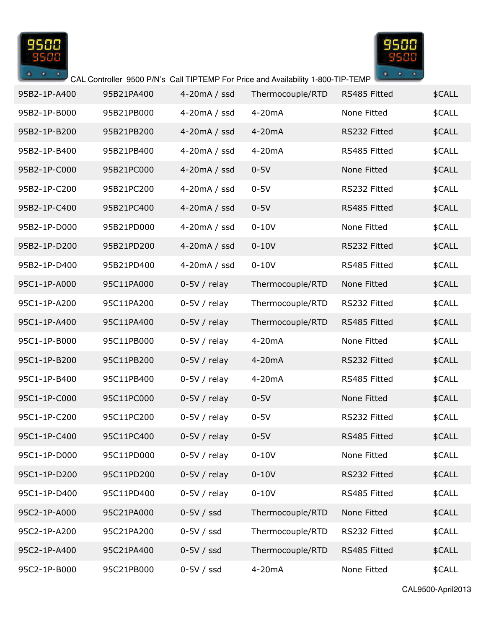



| 95B2-1P-A400 | 95B21PA400 | 4-20mA / ssd   | Thermocouple/RTD | RS485 Fitted | \$CALL |
|--------------|------------|----------------|------------------|--------------|--------|
| 95B2-1P-B000 | 95B21PB000 | $4-20mA / ssd$ | 4-20mA           | None Fitted  | \$CALL |
| 95B2-1P-B200 | 95B21PB200 | $4-20mA / ssd$ | 4-20mA           | RS232 Fitted | \$CALL |
| 95B2-1P-B400 | 95B21PB400 | $4-20mA / ssd$ | 4-20mA           | RS485 Fitted | \$CALL |
| 95B2-1P-C000 | 95B21PC000 | $4-20mA / ssd$ | $0-5V$           | None Fitted  | \$CALL |
| 95B2-1P-C200 | 95B21PC200 | $4-20mA / ssd$ | $0-5V$           | RS232 Fitted | \$CALL |
| 95B2-1P-C400 | 95B21PC400 | $4-20mA / ssd$ | $0-5V$           | RS485 Fitted | \$CALL |
| 95B2-1P-D000 | 95B21PD000 | $4-20mA / ssd$ | $0-10V$          | None Fitted  | \$CALL |
| 95B2-1P-D200 | 95B21PD200 | $4-20mA / ssd$ | $0-10V$          | RS232 Fitted | \$CALL |
| 95B2-1P-D400 | 95B21PD400 | $4-20mA / ssd$ | $0-10V$          | RS485 Fitted | \$CALL |
| 95C1-1P-A000 | 95C11PA000 | $0-5V/relay$   | Thermocouple/RTD | None Fitted  | \$CALL |
| 95C1-1P-A200 | 95C11PA200 | $0-5V/relay$   | Thermocouple/RTD | RS232 Fitted | \$CALL |
| 95C1-1P-A400 | 95C11PA400 | $0-5V/relay$   | Thermocouple/RTD | RS485 Fitted | \$CALL |
| 95C1-1P-B000 | 95C11PB000 | $0-5V/relay$   | 4-20mA           | None Fitted  | \$CALL |
| 95C1-1P-B200 | 95C11PB200 | $0-5V/relay$   | 4-20mA           | RS232 Fitted | \$CALL |
| 95C1-1P-B400 | 95C11PB400 | $0-5V/relay$   | 4-20mA           | RS485 Fitted | \$CALL |
| 95C1-1P-C000 | 95C11PC000 | $0-5V/relay$   | $0-5V$           | None Fitted  | \$CALL |
| 95C1-1P-C200 | 95C11PC200 | $0-5V/relay$   | $0-5V$           | RS232 Fitted | \$CALL |
| 95C1-1P-C400 | 95C11PC400 | $0-5V/relay$   | $0-5V$           | RS485 Fitted | \$CALL |
| 95C1-1P-D000 | 95C11PD000 | $0-5V/relay$   | $0-10V$          | None Fitted  | \$CALL |
| 95C1-1P-D200 | 95C11PD200 | $0-5V/$ relay  | $0-10V$          | RS232 Fitted | \$CALL |
| 95C1-1P-D400 | 95C11PD400 | $0-5V/$ relay  | $0-10V$          | RS485 Fitted | \$CALL |
| 95C2-1P-A000 | 95C21PA000 | $0-5V / ssd$   | Thermocouple/RTD | None Fitted  | \$CALL |
| 95C2-1P-A200 | 95C21PA200 | $0-5V / ssd$   | Thermocouple/RTD | RS232 Fitted | \$CALL |
| 95C2-1P-A400 | 95C21PA400 | $0-5V / ssd$   | Thermocouple/RTD | RS485 Fitted | \$CALL |
| 95C2-1P-B000 | 95C21PB000 | $0-5V / ssd$   | 4-20mA           | None Fitted  | \$CALL |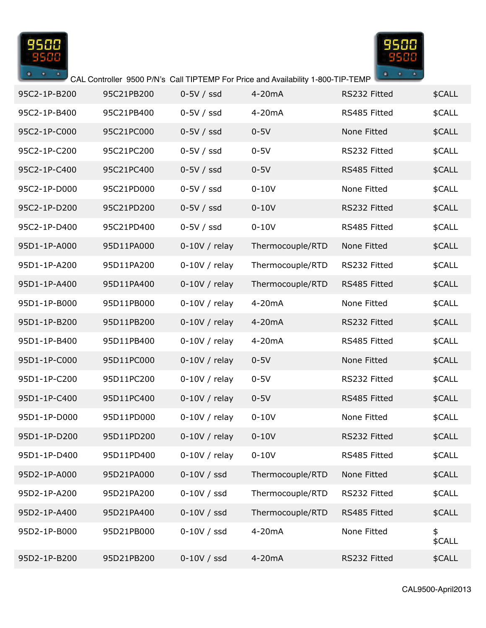



| 95C2-1P-B200 | 95C21PB200 | $0-5V / ssd$   | 4-20 <sub>m</sub> A | RS232 Fitted | \$CALL       |
|--------------|------------|----------------|---------------------|--------------|--------------|
| 95C2-1P-B400 | 95C21PB400 | $0-5V / ssd$   | 4-20mA              | RS485 Fitted | \$CALL       |
| 95C2-1P-C000 | 95C21PC000 | $0-5V / ssd$   | $0-5V$              | None Fitted  | \$CALL       |
| 95C2-1P-C200 | 95C21PC200 | $0-5V / ssd$   | $0-5V$              | RS232 Fitted | \$CALL       |
| 95C2-1P-C400 | 95C21PC400 | $0-5V / ssd$   | $0-5V$              | RS485 Fitted | \$CALL       |
| 95C2-1P-D000 | 95C21PD000 | $0-5V / ssd$   | $0-10V$             | None Fitted  | \$CALL       |
| 95C2-1P-D200 | 95C21PD200 | $0-5V / ssd$   | $0-10V$             | RS232 Fitted | \$CALL       |
| 95C2-1P-D400 | 95C21PD400 | $0-5V / ssd$   | $0-10V$             | RS485 Fitted | \$CALL       |
| 95D1-1P-A000 | 95D11PA000 | $0-10V/$ relay | Thermocouple/RTD    | None Fitted  | \$CALL       |
| 95D1-1P-A200 | 95D11PA200 | $0-10V/relay$  | Thermocouple/RTD    | RS232 Fitted | \$CALL       |
| 95D1-1P-A400 | 95D11PA400 | $0-10V/relay$  | Thermocouple/RTD    | RS485 Fitted | \$CALL       |
| 95D1-1P-B000 | 95D11PB000 | $0-10V/relay$  | 4-20mA              | None Fitted  | \$CALL       |
| 95D1-1P-B200 | 95D11PB200 | $0-10V/relay$  | 4-20mA              | RS232 Fitted | \$CALL       |
| 95D1-1P-B400 | 95D11PB400 | $0-10V/$ relay | 4-20mA              | RS485 Fitted | \$CALL       |
| 95D1-1P-C000 | 95D11PC000 | $0-10V/$ relay | $0-5V$              | None Fitted  | \$CALL       |
| 95D1-1P-C200 | 95D11PC200 | $0-10V/$ relay | $0-5V$              | RS232 Fitted | \$CALL       |
| 95D1-1P-C400 | 95D11PC400 | $0-10V/$ relay | $0-5V$              | RS485 Fitted | \$CALL       |
| 95D1-1P-D000 | 95D11PD000 | $0-10V/$ relay | $0-10V$             | None Fitted  | \$CALL       |
| 95D1-1P-D200 | 95D11PD200 | $0-10V/$ relay | $0-10V$             | RS232 Fitted | \$CALL       |
| 95D1-1P-D400 | 95D11PD400 | $0-10V/relay$  | $0 - 10V$           | RS485 Fitted | \$CALL       |
| 95D2-1P-A000 | 95D21PA000 | $0-10V / ssd$  | Thermocouple/RTD    | None Fitted  | \$CALL       |
| 95D2-1P-A200 | 95D21PA200 | $0-10V / ssd$  | Thermocouple/RTD    | RS232 Fitted | \$CALL       |
| 95D2-1P-A400 | 95D21PA400 | $0-10V / ssd$  | Thermocouple/RTD    | RS485 Fitted | \$CALL       |
| 95D2-1P-B000 | 95D21PB000 | $0-10V / ssd$  | 4-20mA              | None Fitted  | \$<br>\$CALL |
| 95D2-1P-B200 | 95D21PB200 | $0-10V / ssd$  | 4-20mA              | RS232 Fitted | \$CALL       |